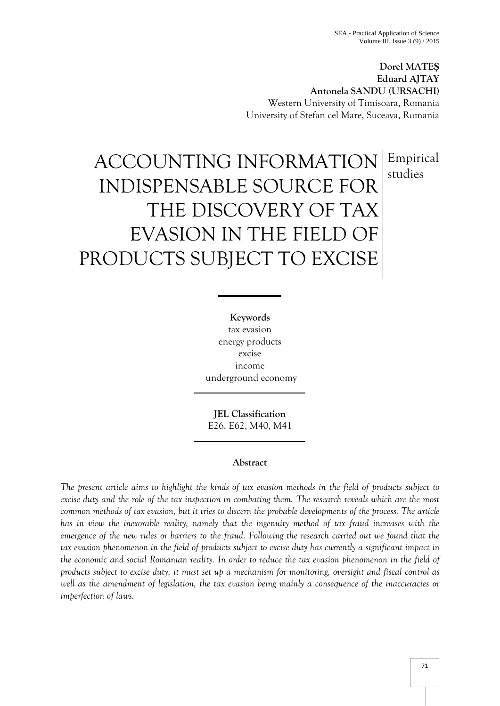**Dorel MATEŞ Eduard AJTAY Antonela SANDU (URSACHI)**  Western University of Timisoara, Romania University of Stefan cel Mare, Suceava, Romania

> Empirical studies

# ACCOUNTING INFORMATION INDISPENSABLE SOURCE FOR THE DISCOVERY OF TAX EVASION IN THE FIELD OF PRODUCTS SUBJECT TO EXCISE

**Keywords** tax evasion energy products excise income underground economy

**JEL Classification**  E26, E62, M40, M41

## **Abstract**

*The present article aims to highlight the kinds of tax evasion methods in the field of products subject to excise duty and the role of the tax inspection in combating them. The research reveals which are the most common methods of tax evasion, but it tries to discern the probable developments of the process. The article has in view the inexorable reality, namely that the ingenuity method of tax fraud increases with the emergence of the new rules or barriers to the fraud. Following the research carried out we found that the tax evasion phenomenon in the field of products subject to excise duty has currently a significant impact in the economic and social Romanian reality. In order to reduce the tax evasion phenomenon in the field of products subject to excise duty, it must set up a mechanism for monitoring, oversight and fiscal control as well as the amendment of legislation, the tax evasion being mainly a consequence of the inaccuracies or imperfection of laws.*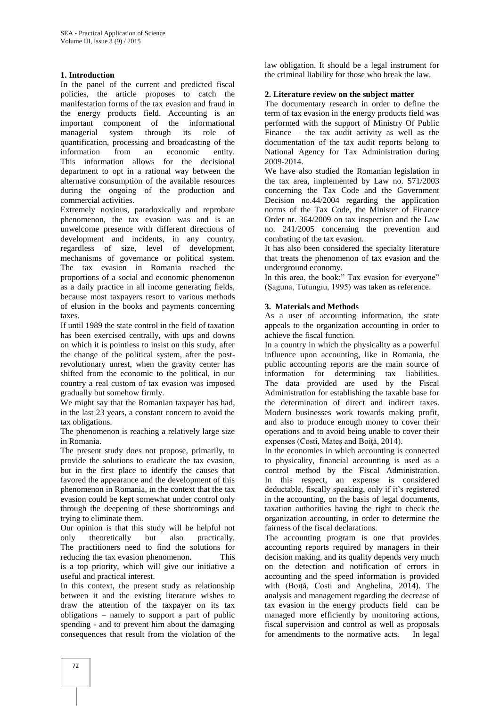### **1. Introduction**

In the panel of the current and predicted fiscal policies, the article proposes to catch the manifestation forms of the tax evasion and fraud in the energy products field. Accounting is an important component of the informational managerial system through its role of quantification, processing and broadcasting of the information from an economic entity. This information allows for the decisional department to opt in a rational way between the alternative consumption of the available resources during the ongoing of the production and commercial activities.

Extremely noxious, paradoxically and reprobate phenomenon, the tax evasion was and is an unwelcome presence with different directions of development and incidents, in any country, regardless of size, level of development, mechanisms of governance or political system. The tax evasion in Romania reached the proportions of a social and economic phenomenon as a daily practice in all income generating fields, because most taxpayers resort to various methods of elusion in the books and payments concerning taxes.

If until 1989 the state control in the field of taxation has been exercised centrally, with ups and downs on which it is pointless to insist on this study, after the change of the political system, after the postrevolutionary unrest, when the gravity center has shifted from the economic to the political, in our country a real custom of tax evasion was imposed gradually but somehow firmly.

We might say that the Romanian taxpayer has had, in the last 23 years, a constant concern to avoid the tax obligations.

The phenomenon is reaching a relatively large size in Romania.

The present study does not propose, primarily, to provide the solutions to eradicate the tax evasion, but in the first place to identify the causes that favored the appearance and the development of this phenomenon in Romania, in the context that the tax evasion could be kept somewhat under control only through the deepening of these shortcomings and trying to eliminate them.

Our opinion is that this study will be helpful not only theoretically but also practically. The practitioners need to find the solutions for reducing the tax evasion phenomenon. This is a top priority, which will give our initiative a useful and practical interest.

In this context, the present study as relationship between it and the existing literature wishes to draw the attention of the taxpayer on its tax obligations – namely to support a part of public spending - and to prevent him about the damaging consequences that result from the violation of the law obligation. It should be a legal instrument for the criminal liability for those who break the law.

## **2. Literature review on the subject matter**

The documentary research in order to define the term of tax evasion in the energy products field was performed with the support of Ministry Of Public Finance – the tax audit activity as well as the documentation of the tax audit reports belong to National Agency for Tax Administration during 2009-2014.

We have also studied the Romanian legislation in the tax area, implemented by Law no. 571/2003 concerning the Tax Code and the Government Decision no.44/2004 regarding the application norms of the Tax Code, the Minister of Finance Order nr. 364/2009 on tax inspection and the Law no. 241/2005 concerning the prevention and combating of the tax evasion.

It has also been considered the specialty literature that treats the phenomenon of tax evasion and the underground economy.

In this area, the book:" Tax evasion for everyone" (Şaguna, Tutungiu, 1995) was taken as reference.

## **3. Materials and Methods**

As a user of accounting information, the state appeals to the organization accounting in order to achieve the fiscal function.

In a country in which the physicality as a powerful influence upon accounting, like in Romania, the public accounting reports are the main source of information for determining tax liabilities. The data provided are used by the Fiscal Administration for establishing the taxable base for the determination of direct and indirect taxes. Modern businesses work towards making profit, and also to produce enough money to cover their operations and to avoid being unable to cover their expenses (Costi, Mateş and Boiţă, 2014).

In the economies in which accounting is connected to physicality, financial accounting is used as a control method by the Fiscal Administration. In this respect, an expense is considered deductable, fiscally speaking, only if it's registered in the accounting, on the basis of legal documents, taxation authorities having the right to check the organization accounting, in order to determine the fairness of the fiscal declarations.

The accounting program is one that provides accounting reports required by managers in their decision making, and its quality depends very much on the detection and notification of errors in accounting and the speed information is provided with (Boițǎ, Costi and Anghelina, 2014). The analysis and management regarding the decrease of tax evasion in the energy products field can be managed more efficiently by monitoring actions, fiscal supervision and control as well as proposals for amendments to the normative acts. In legal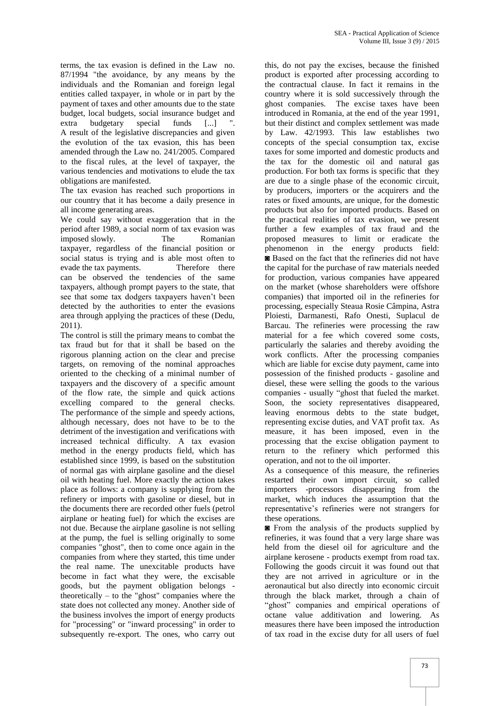terms, the tax evasion is defined in the Law no. 87/1994 "the avoidance, by any means by the individuals and the Romanian and foreign legal entities called taxpayer, in whole or in part by the payment of taxes and other amounts due to the state budget, local budgets, social insurance budget and extra budgetary special funds [...] A result of the legislative discrepancies and given the evolution of the tax evasion, this has been amended through the Law no. 241/2005. Compared to the fiscal rules, at the level of taxpayer, the various tendencies and motivations to elude the tax obligations are manifested.

The tax evasion has reached such proportions in our country that it has become a daily presence in all income generating areas.

We could say without exaggeration that in the period after 1989, a social norm of tax evasion was imposed slowly. The Romanian taxpayer, regardless of the financial position or social status is trying and is able most often to evade the tax payments. Therefore there can be observed the tendencies of the same taxpayers, although prompt payers to the state, that see that some tax dodgers taxpayers haven't been detected by the authorities to enter the evasions area through applying the practices of these (Dedu, 2011).

The control is still the primary means to combat the tax fraud but for that it shall be based on the rigorous planning action on the clear and precise targets, on removing of the nominal approaches oriented to the checking of a minimal number of taxpayers and the discovery of a specific amount of the flow rate, the simple and quick actions excelling compared to the general checks. The performance of the simple and speedy actions, although necessary, does not have to be to the detriment of the investigation and verifications with increased technical difficulty. A tax evasion method in the energy products field, which has established since 1999, is based on the substitution of normal gas with airplane gasoline and the diesel oil with heating fuel. More exactly the action takes place as follows: a company is supplying from the refinery or imports with gasoline or diesel, but in the documents there are recorded other fuels (petrol airplane or heating fuel) for which the excises are not due. Because the airplane gasoline is not selling at the pump, the fuel is selling originally to some companies "ghost", then to come once again in the companies from where they started, this time under the real name. The unexcitable products have become in fact what they were, the excisable goods, but the payment obligation belongs theoretically – to the "ghost" companies where the state does not collected any money. Another side of the business involves the import of energy products for "processing" or "inward processing" in order to subsequently re-export. The ones, who carry out

this, do not pay the excises, because the finished product is exported after processing according to the contractual clause. In fact it remains in the country where it is sold successively through the ghost companies. The excise taxes have been introduced in Romania, at the end of the year 1991, but their distinct and complex settlement was made by Law. 42/1993. This law establishes two concepts of the special consumption tax, excise taxes for some imported and domestic products and the tax for the domestic oil and natural gas production. For both tax forms is specific that they are due to a single phase of the economic circuit, by producers, importers or the acquirers and the rates or fixed amounts, are unique, for the domestic products but also for imported products. Based on the practical realities of tax evasion, we present further a few examples of tax fraud and the proposed measures to limit or eradicate the phenomenon in the energy products field: ◙ Based on the fact that the refineries did not have the capital for the purchase of raw materials needed for production, various companies have appeared on the market (whose shareholders were offshore companies) that imported oil in the refineries for processing, especially Steaua Rosie Câmpina, Astra Ploiesti, Darmanesti, Rafo Onesti, Suplacul de Barcau. The refineries were processing the raw material for a fee which covered some costs, particularly the salaries and thereby avoiding the work conflicts. After the processing companies which are liable for excise duty payment, came into possession of the finished products - gasoline and diesel, these were selling the goods to the various companies - usually "ghost that fueled the market. Soon, the society representatives disappeared, leaving enormous debts to the state budget, representing excise duties, and VAT profit tax. As measure, it has been imposed, even in the processing that the excise obligation payment to return to the refinery which performed this operation, and not to the oil importer.

As a consequence of this measure, the refineries restarted their own import circuit, so called importers -processors disappearing from the market, which induces the assumption that the representative's refineries were not strangers for these operations.

◙ From the analysis of the products supplied by refineries, it was found that a very large share was held from the diesel oil for agriculture and the airplane kerosene - products exempt from road tax. Following the goods circuit it was found out that they are not arrived in agriculture or in the aeronautical but also directly into economic circuit through the black market, through a chain of "ghost" companies and empirical operations of octane value additivation and lowering. As measures there have been imposed the introduction of tax road in the excise duty for all users of fuel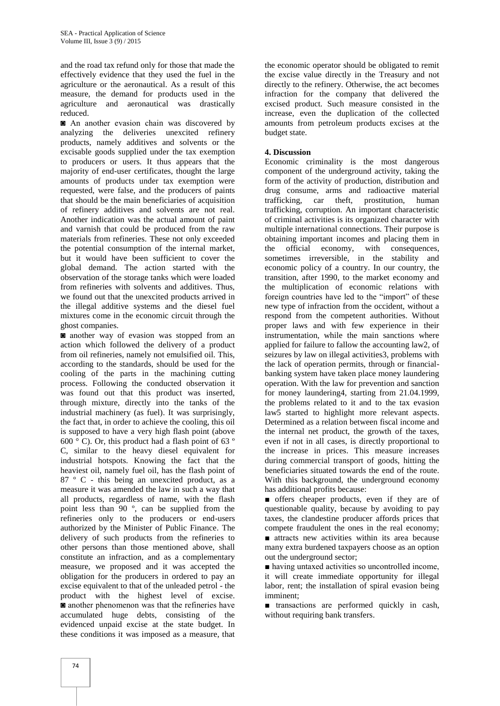and the road tax refund only for those that made the effectively evidence that they used the fuel in the agriculture or the aeronautical. As a result of this measure, the demand for products used in the agriculture and aeronautical was drastically reduced.

◙ An another evasion chain was discovered by analyzing the deliveries unexcited refinery products, namely additives and solvents or the excisable goods supplied under the tax exemption to producers or users. It thus appears that the majority of end-user certificates, thought the large amounts of products under tax exemption were requested, were false, and the producers of paints that should be the main beneficiaries of acquisition of refinery additives and solvents are not real. Another indication was the actual amount of paint and varnish that could be produced from the raw materials from refineries. These not only exceeded the potential consumption of the internal market, but it would have been sufficient to cover the global demand. The action started with the observation of the storage tanks which were loaded from refineries with solvents and additives. Thus, we found out that the unexcited products arrived in the illegal additive systems and the diesel fuel mixtures come in the economic circuit through the ghost companies.

◙ another way of evasion was stopped from an action which followed the delivery of a product from oil refineries, namely not emulsified oil. This, according to the standards, should be used for the cooling of the parts in the machining cutting process. Following the conducted observation it was found out that this product was inserted, through mixture, directly into the tanks of the industrial machinery (as fuel). It was surprisingly, the fact that, in order to achieve the cooling, this oil is supposed to have a very high flash point (above  $600^\circ$  C). Or, this product had a flash point of 63 $^\circ$ C, similar to the heavy diesel equivalent for industrial hotspots. Knowing the fact that the heaviest oil, namely fuel oil, has the flash point of 87 º C - this being an unexcited product, as a measure it was amended the law in such a way that all products, regardless of name, with the flash point less than 90 º, can be supplied from the refineries only to the producers or end-users authorized by the Minister of Public Finance. The delivery of such products from the refineries to other persons than those mentioned above, shall constitute an infraction, and as a complementary measure, we proposed and it was accepted the obligation for the producers in ordered to pay an excise equivalent to that of the unleaded petrol - the product with the highest level of excise. ◙ another phenomenon was that the refineries have accumulated huge debts, consisting of the evidenced unpaid excise at the state budget. In these conditions it was imposed as a measure, that

the economic operator should be obligated to remit the excise value directly in the Treasury and not directly to the refinery. Otherwise, the act becomes infraction for the company that delivered the excised product. Such measure consisted in the increase, even the duplication of the collected amounts from petroleum products excises at the budget state.

## **4. Discussion**

Economic criminality is the most dangerous component of the underground activity, taking the form of the activity of production, distribution and drug consume, arms and radioactive material trafficking, car theft, prostitution, human trafficking, corruption. An important characteristic of criminal activities is its organized character with multiple international connections. Their purpose is obtaining important incomes and placing them in the official economy, with consequences, sometimes irreversible, in the stability and economic policy of a country. In our country, the transition, after 1990, to the market economy and the multiplication of economic relations with foreign countries have led to the "import" of these new type of infraction from the occident, without a respond from the competent authorities. Without proper laws and with few experience in their instrumentation, while the main sanctions where applied for failure to fallow the accounting law2, of seizures by law on illegal activities3, problems with the lack of operation permits, through or financialbanking system have taken place money laundering operation. With the law for prevention and sanction for money laundering4, starting from 21.04.1999, the problems related to it and to the tax evasion law5 started to highlight more relevant aspects. Determined as a relation between fiscal income and the internal net product, the growth of the taxes, even if not in all cases, is directly proportional to the increase in prices. This measure increases during commercial transport of goods, hitting the beneficiaries situated towards the end of the route. With this background, the underground economy has additional profits because:

■ offers cheaper products, even if they are of questionable quality, because by avoiding to pay taxes, the clandestine producer affords prices that compete fraudulent the ones in the real economy; ■ attracts new activities within its area because many extra burdened taxpayers choose as an option out the underground sector;

■ having untaxed activities so uncontrolled income, it will create immediate opportunity for illegal labor, rent; the installation of spiral evasion being imminent;

■ transactions are performed quickly in cash, without requiring bank transfers.